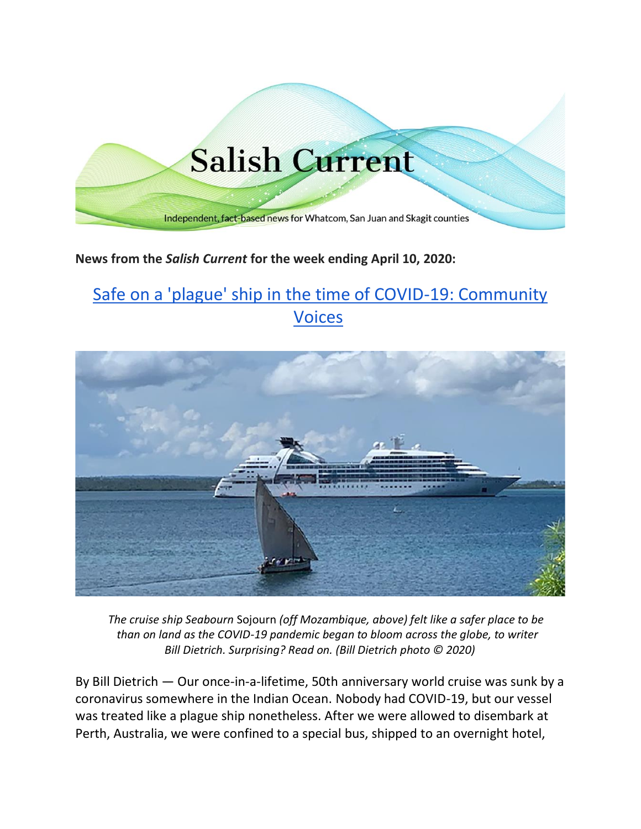

## **News from the** *Salish Current* **for the week ending April 10, 2020:**

# [Safe on a 'plague' ship in the time of COVID-19: Community](https://salish-current.org/2020/04/06/safe-on-a-plague-ship-in-the-time-of-covid-19-community-voices/)  [Voices](https://salish-current.org/2020/04/06/safe-on-a-plague-ship-in-the-time-of-covid-19-community-voices/)



 *The cruise ship Seabourn* Sojourn *(off Mozambique, above) felt like a safer place to be than on land as the COVID-19 pandemic began to bloom across the globe, to writer Bill Dietrich. Surprising? Read on. (Bill Dietrich photo © 2020)*

By Bill Dietrich — Our once-in-a-lifetime, 50th anniversary world cruise was sunk by a coronavirus somewhere in the Indian Ocean. Nobody had COVID-19, but our vessel was treated like a plague ship nonetheless. After we were allowed to disembark at Perth, Australia, we were confined to a special bus, shipped to an overnight hotel,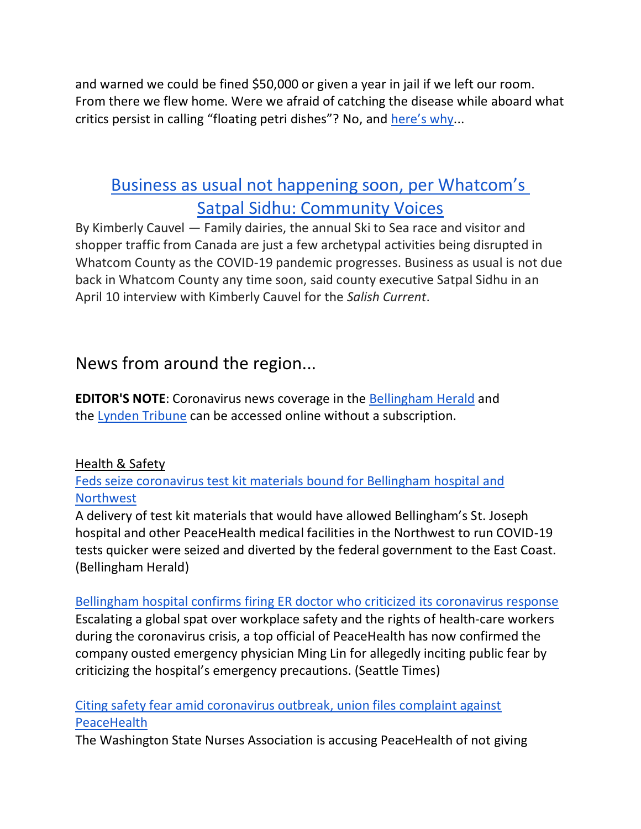and warned we could be fined \$50,000 or given a year in jail if we left our room. From there we flew home. Were we afraid of catching the disease while aboard what critics persist in calling "floating petri dishes"? No, and [here's why](https://salish-current.org/2020/04/06/safe-on-a-plague-ship-in-the-time-of-covid-19-community-voices/)...

## [Business as usual not happening soon, per Whatcom's](https://salish-current.org/2020/04/10/business-as-usual-not-happening-soon-per-whatcoms-satpal-sidhu-community-voices/) [Satpal Sidhu: Community Voices](https://salish-current.org/2020/04/10/business-as-usual-not-happening-soon-per-whatcoms-satpal-sidhu-community-voices/)

By Kimberly Cauvel — Family dairies, the annual Ski to Sea race and visitor and shopper traffic from Canada are just a few archetypal activities being disrupted in Whatcom County as the COVID-19 pandemic progresses. Business as usual is not due back in Whatcom County any time soon, said county executive Satpal Sidhu in an April 10 interview with Kimberly Cauvel for the *Salish Current*.

## News from around the region...

**EDITOR'S NOTE**: Coronavirus news coverage in the [Bellingham Herald](https://www.bellinghamherald.com/) and the [Lynden Tribune](https://www.lyndentribune.com/news/) can be accessed online without a subscription.

## Health & Safety

[Feds seize coronavirus test kit materials bound for Bellingham hospital and](https://www.bellinghamherald.com/news/coronavirus/article241884351.html)  [Northwest](https://www.bellinghamherald.com/news/coronavirus/article241884351.html)

A delivery of test kit materials that would have allowed Bellingham's St. Joseph hospital and other PeaceHealth medical facilities in the Northwest to run COVID-19 tests quicker were seized and diverted by the federal government to the East Coast. (Bellingham Herald)

[Bellingham hospital confirms firing ER doctor who criticized its coronavirus response](https://www.seattletimes.com/seattle-news/health/bellingham-hospital-confirms-firing-er-doctor-who-criticized-its-coronavirus-response/) Escalating a global spat over workplace safety and the rights of health-care workers during the coronavirus crisis, a top official of PeaceHealth has now confirmed the company ousted emergency physician Ming Lin for allegedly inciting public fear by criticizing the hospital's emergency precautions. (Seattle Times)

[Citing safety fear amid coronavirus outbreak, union files complaint against](https://www.bellinghamherald.com/news/coronavirus/article241695571.html)  **[PeaceHealth](https://www.bellinghamherald.com/news/coronavirus/article241695571.html)** 

The Washington State Nurses Association is accusing PeaceHealth of not giving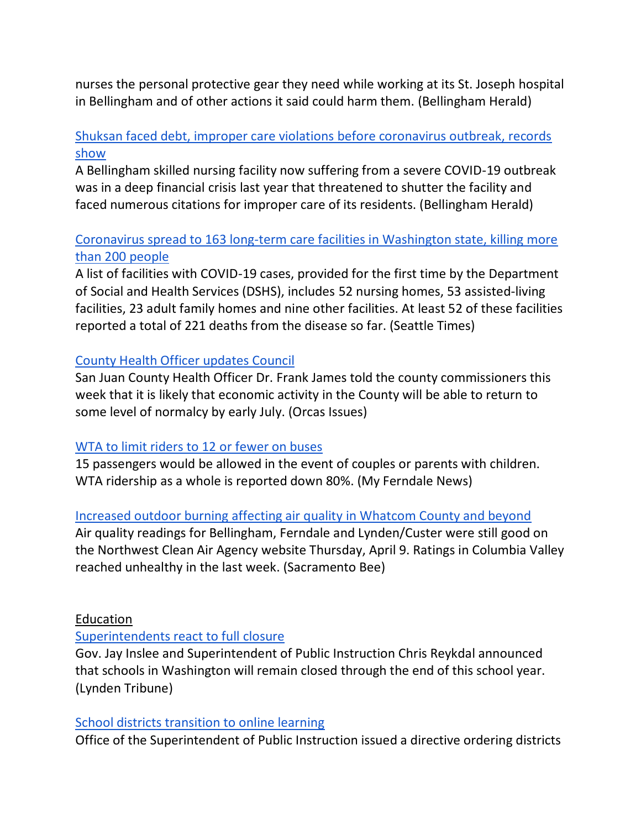nurses the personal protective gear they need while working at its St. Joseph hospital in Bellingham and of other actions it said could harm them. (Bellingham Herald)

## [Shuksan faced debt, improper care violations before coronavirus outbreak, records](https://www.bellinghamherald.com/news/coronavirus/article241764381.html)  [show](https://www.bellinghamherald.com/news/coronavirus/article241764381.html)

A Bellingham skilled nursing facility now suffering from a severe COVID-19 outbreak was in a deep financial crisis last year that threatened to shutter the facility and faced numerous citations for improper care of its residents. (Bellingham Herald)

## [Coronavirus spread to 163 long-term care facilities in Washington state, killing more](https://www.seattletimes.com/seattle-news/at-least-137-long-term-care-facilities-in-washington-have-coronavirus-cases/)  [than 200 people](https://www.seattletimes.com/seattle-news/at-least-137-long-term-care-facilities-in-washington-have-coronavirus-cases/)

A list of facilities with COVID-19 cases, provided for the first time by the Department of Social and Health Services (DSHS), includes 52 nursing homes, 53 assisted-living facilities, 23 adult family homes and nine other facilities. At least 52 of these facilities reported a total of 221 deaths from the disease so far. (Seattle Times)

## [County Health Officer updates Council](https://orcasissues.com/county-health-officer-updates-council/)

San Juan County Health Officer Dr. Frank James told the county commissioners this week that it is likely that economic activity in the County will be able to return to some level of normalcy by early July. (Orcas Issues)

## [WTA to limit riders to 12 or fewer on buses](https://myferndalenews.com/wta-to-limit-riders-to-12-or-fewer-on-buses_101454/)

15 passengers would be allowed in the event of couples or parents with children. WTA ridership as a whole is reported down 80%. (My Ferndale News)

## [Increased outdoor burning affecting air quality in Whatcom County and beyond](https://www.bellinghamherald.com/news/coronavirus/article241896536.html)

Air quality readings for Bellingham, Ferndale and Lynden/Custer were still good on the Northwest Clean Air Agency website Thursday, April 9. Ratings in Columbia Valley reached unhealthy in the last week. (Sacramento Bee)

#### Education

## [Superintendents react to full closure](https://www.lyndentribune.com/news/superintendents-react-to-full-closure/article_fb08afec-791d-11ea-9b9c-a7c20cc3756d.html)

Gov. Jay Inslee and Superintendent of Public Instruction Chris Reykdal announced that schools in Washington will remain closed through the end of this school year. (Lynden Tribune)

#### [School districts transition to online learning](https://www.goskagit.com/news/local_news/school-districts-transition-to-online-learning/article_249ed03a-882e-5658-a1a3-2aa97cdb113f.html)

Office of the Superintendent of Public Instruction issued a directive ordering districts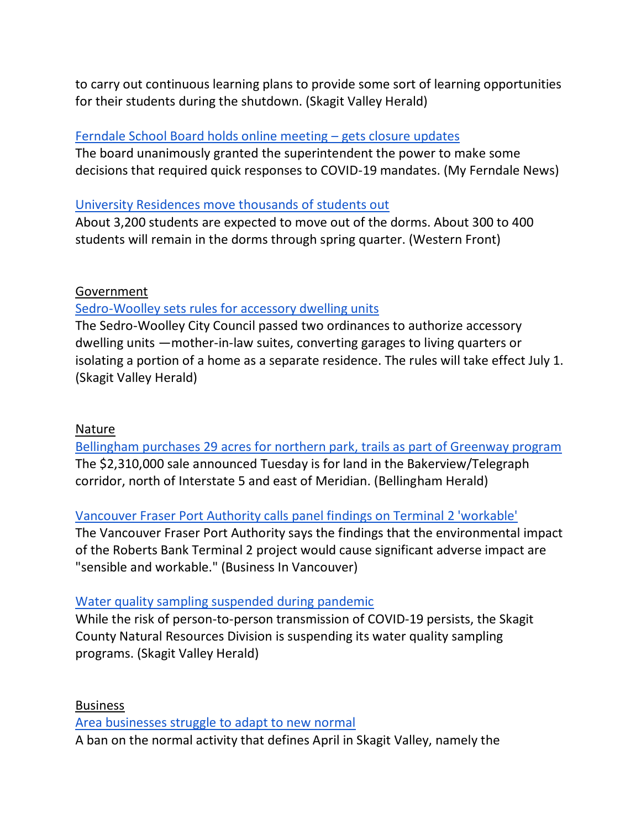to carry out continuous learning plans to provide some sort of learning opportunities for their students during the shutdown. (Skagit Valley Herald)

#### [Ferndale School Board holds online meeting](https://myferndalenews.com/ferndale-school-board-holds-online-meeting-gets-closure-updates_101435/) – gets closure updates

The board unanimously granted the superintendent the power to make some decisions that required quick responses to COVID-19 mandates. (My Ferndale News)

### [University Residences move thousands of students out](https://www.westernfrontonline.com/2020/04/09/university-residences-moves-thousands-of-students-out/)

About 3,200 students are expected to move out of the dorms. About 300 to 400 students will remain in the dorms through spring quarter. (Western Front)

### Government

### [Sedro-Woolley sets rules for accessory dwelling units](https://www.goskagit.com/news/sedro-woolley-sets-rules-for-accessory-dwelling-units/article_3fc9c503-75ff-5d08-ad7f-00a0998800b0.html)

The Sedro-Woolley City Council passed two ordinances to authorize accessory dwelling units —mother-in-law suites, converting garages to living quarters or isolating a portion of a home as a separate residence. The rules will take effect July 1. (Skagit Valley Herald)

#### Nature

[Bellingham purchases 29 acres for northern park, trails as part of Greenway program](https://www.bellinghamherald.com/news/local/article241850366.html) The \$2,310,000 sale announced Tuesday is for land in the Bakerview/Telegraph corridor, north of Interstate 5 and east of Meridian. (Bellingham Herald)

#### [Vancouver Fraser Port Authority calls panel findings on Terminal 2 'workable'](https://biv.com/article/2020/04/vancouver-fraser-port-authority-calls-panel-findings-terminal-2-workable)

The Vancouver Fraser Port Authority says the findings that the environmental impact of the Roberts Bank Terminal 2 project would cause significant adverse impact are "sensible and workable." (Business In Vancouver)

#### [Water quality sampling suspended during pandemic](https://www.goskagit.com/news/water-quality-sampling-suspended-during-pandemic/article_d2703d6f-9db1-5c89-aafe-4b612657a90b.html?utm_medium=social&utm_source=email&utm_campaign=user-share)

While the risk of person-to-person transmission of COVID-19 persists, the Skagit County Natural Resources Division is suspending its water quality sampling programs. (Skagit Valley Herald)

Business

[Area businesses struggle to adapt to new normal](https://www.goskagit.com/anacortes/coronavirus/area-businesses-struggle-to-adapt-to-new-normal/article_b8806580-791c-11ea-88af-af3aad345e12.html)

A ban on the normal activity that defines April in Skagit Valley, namely the